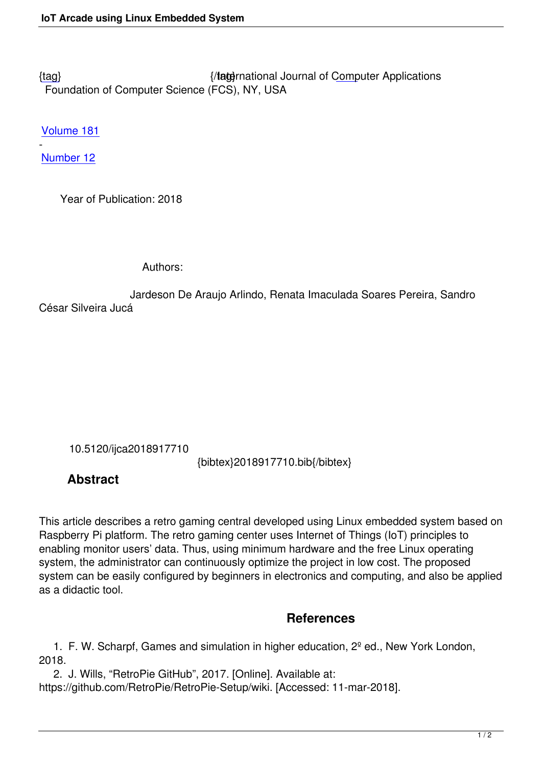{tag} International Journal of Computer Applications Foundation of Computer Science (FCS), NY, USA

[Volu](/archives/volume181/number12/arlindo-2018-ijca-917710.pdf)me 181

- Number 12

 [Year of](/archives/volume181/number12) Publication: 2018

Authors:

 Jardeson De Araujo Arlindo, Renata Imaculada Soares Pereira, Sandro César Silveira Jucá

10.5120/ijca2018917710

{bibtex}2018917710.bib{/bibtex}

## **Abstract**

This article describes a retro gaming central developed using Linux embedded system based on Raspberry Pi platform. The retro gaming center uses Internet of Things (IoT) principles to enabling monitor users' data. Thus, using minimum hardware and the free Linux operating system, the administrator can continuously optimize the project in low cost. The proposed system can be easily configured by beginners in electronics and computing, and also be applied as a didactic tool.

## **References**

1. F. W. Scharpf, Games and simulation in higher education,  $2^{\circ}$  ed., New York London, 2018.

 2. J. Wills, "RetroPie GitHub", 2017. [Online]. Available at: https://github.com/RetroPie/RetroPie-Setup/wiki. [Accessed: 11-mar-2018].